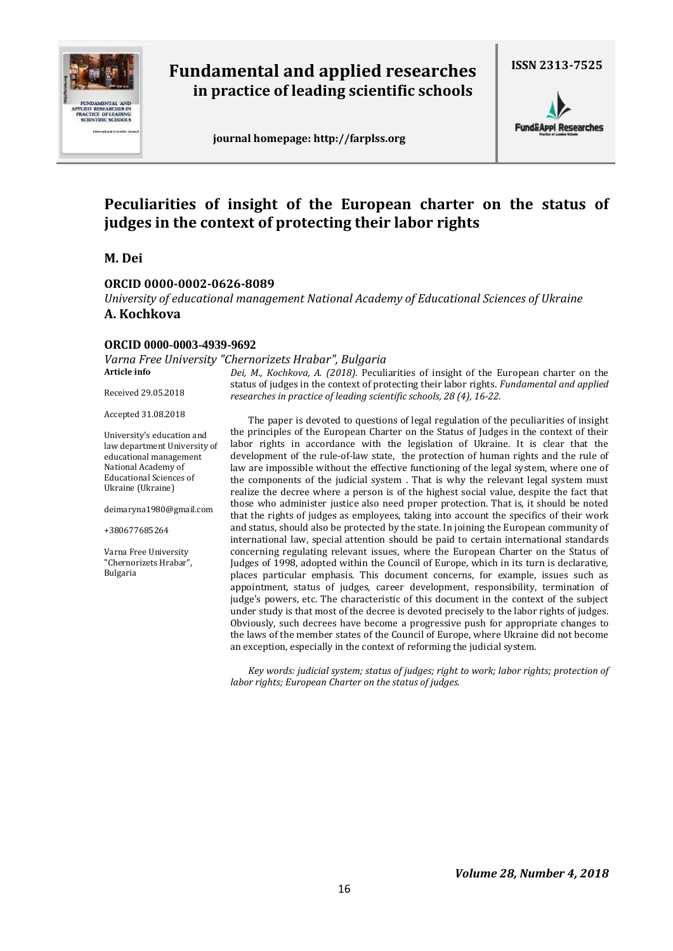

# **Fundamental and applied researches in practice of leading scientific schools**

 **journal homepage: http://farplss.org**

**ISSN 2313-7525**

**Fund&Appl Researches** 

# **Peculiarities of insight of the European charter on the status of judges in the context of protecting their labor rights**

**M. Dei**

### **ORCID 0000-0002-0626-8089**

*University of educational management National Academy of Educational Sciences of Ukraine* **A. Kochkova**

### **ORCID 0000-0003-4939-9692**

*Varna Free University "Chernorizets Hrabar", Bulgaria* **Article info**

Received 29.05.2018

Accepted 31.08.2018

University's education and law department University of educational management National Academy of Educational Sciences of Ukraine (Ukraine)

deimaryna1980@gmail.com

+380677685264

Varna Free University "Chernorizets Hrabar", Bulgaria

*Dei, M., Kochkova, A. (2018).* Peculiarities of insight of the European charter on the status of judges in the context of protecting their labor rights. *Fundamental and applied researches in practice of leading scientific schools, 28 (4), 16-22.*

The paper is devoted to questions of legal regulation of the peculiarities of insight the principles of the European Charter on the Status of Judges in the context of their labor rights in accordance with the legislation of Ukraine. It is clear that the development of the rule-of-law state, the protection of human rights and the rule of law are impossible without the effective functioning of the legal system, where one of the components of the judicial system . That is why the relevant legal system must realize the decree where a person is of the highest social value, despite the fact that those who administer justice also need proper protection. That is, it should be noted that the rights of judges as employees, taking into account the specifics of their work and status, should also be protected by the state. In joining the European community of international law, special attention should be paid to certain international standards concerning regulating relevant issues, where the European Charter on the Status of Judges of 1998, adopted within the Council of Europe, which in its turn is declarative, places particular emphasis. This document concerns, for example, issues such as appointment, status of judges, career development, responsibility, termination of judge's powers, etc. The characteristic of this document in the context of the subject under study is that most of the decree is devoted precisely to the labor rights of judges. Obviously, such decrees have become a progressive push for appropriate changes to the laws of the member states of the Council of Europe, where Ukraine did not become an exception, especially in the context of reforming the judicial system.

*Key words: judicial system; status of judges; right to work; labor rights; protection of labor rights; European Charter on the status of judges.*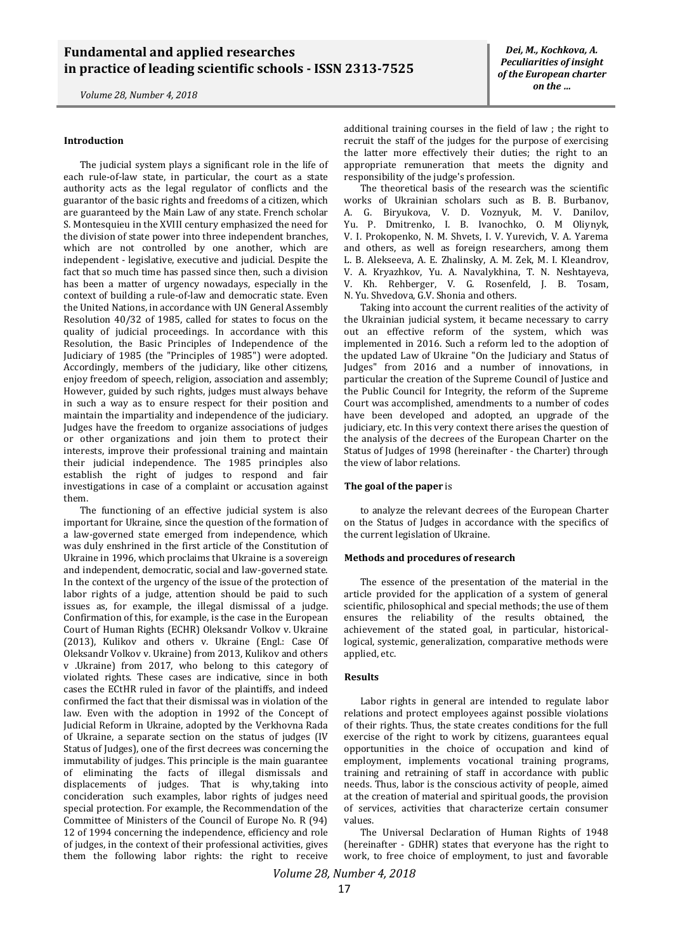*Volume 28, Number 4, 2018*

The judicial system plays a significant role in the life of each rule-of-law state, in particular, the court as a state authority acts as the legal regulator of conflicts and the guarantor of the basic rights and freedoms of a citizen, which are guaranteed by the Main Law of any state. French scholar S. Montesquieu in the XVIII century emphasized the need for the division of state power into three independent branches, which are not controlled by one another, which are independent - legislative, executive and judicial. Despite the fact that so much time has passed since then, such a division has been a matter of urgency nowadays, especially in the context of building a rule-of-law and democratic state. Even the United Nations, in accordance with UN General Assembly Resolution 40/32 of 1985, called for states to focus on the quality of judicial proceedings. In accordance with this Resolution, the Basic Principles of Independence of the Judiciary of 1985 (the "Principles of 1985") were adopted. Accordingly, members of the judiciary, like other citizens, enjoy freedom of speech, religion, association and assembly; However, guided by such rights, judges must always behave in such a way as to ensure respect for their position and maintain the impartiality and independence of the judiciary. Judges have the freedom to organize associations of judges or other organizations and join them to protect their interests, improve their professional training and maintain their judicial independence. The 1985 principles also establish the right of judges to respond and fair investigations in case of a complaint or accusation against them.

The functioning of an effective judicial system is also important for Ukraine, since the question of the formation of a law-governed state emerged from independence, which was duly enshrined in the first article of the Constitution of Ukraine in 1996, which proclaims that Ukraine is a sovereign and independent, democratic, social and law-governed state. In the context of the urgency of the issue of the protection of labor rights of a judge, attention should be paid to such issues as, for example, the illegal dismissal of a judge. Confirmation of this, for example, is the case in the European Court of Human Rights (ECHR) Oleksandr Volkov v. Ukraine (2013), Kulikov and others v. Ukraine (Engl.: Case Of Oleksandr Volkov v. Ukraine) from 2013, Kulikov and others v .Ukraine) from 2017, who belong to this category of violated rights. These cases are indicative, since in both cases the ECtHR ruled in favor of the plaintiffs, and indeed confirmed the fact that their dismissal was in violation of the law. Even with the adoption in 1992 of the Concept of Judicial Reform in Ukraine, adopted by the Verkhovna Rada of Ukraine, a separate section on the status of judges (IV Status of Judges), one of the first decrees was concerning the immutability of judges. This principle is the main guarantee of eliminating the facts of illegal dismissals and displacements of judges. That is why,taking into concideration such examples, labor rights of judges need special protection. For example, the Recommendation of the Committee of Ministers of the Council of Europe No. R (94) 12 of 1994 concerning the independence, efficiency and role of judges, in the context of their professional activities, gives them the following labor rights: the right to receive

additional training courses in the field of law ; the right to recruit the staff of the judges for the purpose of exercising the latter more effectively their duties; the right to an appropriate remuneration that meets the dignity and responsibility of the judge's profession.

The theoretical basis of the research was the scientific works of Ukrainian scholars such as B. B. Burbanov, A. G. Biryukova, V. D. Voznyuk, M. V. Danilov, Yu. P. Dmitrenko, I. B. Ivanochko, O. M Oliynyk, V. I. Prokopenko, N. M. Shvets, I. V. Yurevich, V. A. Yarema and others, as well as foreign researchers, among them L. B. Alekseeva, A. E. Zhalinsky, A. M. Zek, M. I. Kleandrov, V. A. Kryazhkov, Yu. A. Navalykhina, T. N. Neshtayeva, V. Kh. Rehberger, V. G. Rosenfeld, J. B. Tosam, N. Yu. Shvedova, G.V. Shonia and others.

Taking into account the current realities of the activity of the Ukrainian judicial system, it became necessary to carry out an effective reform of the system, which was implemented in 2016. Such a reform led to the adoption of the updated Law of Ukraine "On the Judiciary and Status of Judges" from 2016 and a number of innovations, in particular the creation of the Supreme Council of Justice and the Public Council for Integrity, the reform of the Supreme Court was accomplished, amendments to a number of codes have been developed and adopted, an upgrade of the judiciary, etc. In this very context there arises the question of the analysis of the decrees of the European Charter on the Status of Judges of 1998 (hereinafter - the Charter) through the view of labor relations.

#### **The goal of the paper** is

to analyze the relevant decrees of the European Charter on the Status of Judges in accordance with the specifics of the current legislation of Ukraine.

#### **Methods and procedures of research**

The essence of the presentation of the material in the article provided for the application of a system of general scientific, philosophical and special methods; the use of them ensures the reliability of the results obtained, the achievement of the stated goal, in particular, historicallogical, systemic, generalization, comparative methods were applied, etc.

#### **Results**

Labor rights in general are intended to regulate labor relations and protect employees against possible violations of their rights. Thus, the state creates conditions for the full exercise of the right to work by citizens, guarantees equal opportunities in the choice of occupation and kind of employment, implements vocational training programs, training and retraining of staff in accordance with public needs. Thus, labor is the conscious activity of people, aimed at the creation of material and spiritual goods, the provision of services, activities that characterize certain consumer values.

The Universal Declaration of Human Rights of 1948 (hereinafter - GDHR) states that everyone has the right to work, to free choice of employment, to just and favorable

*Volume 28, Number 4, 2018*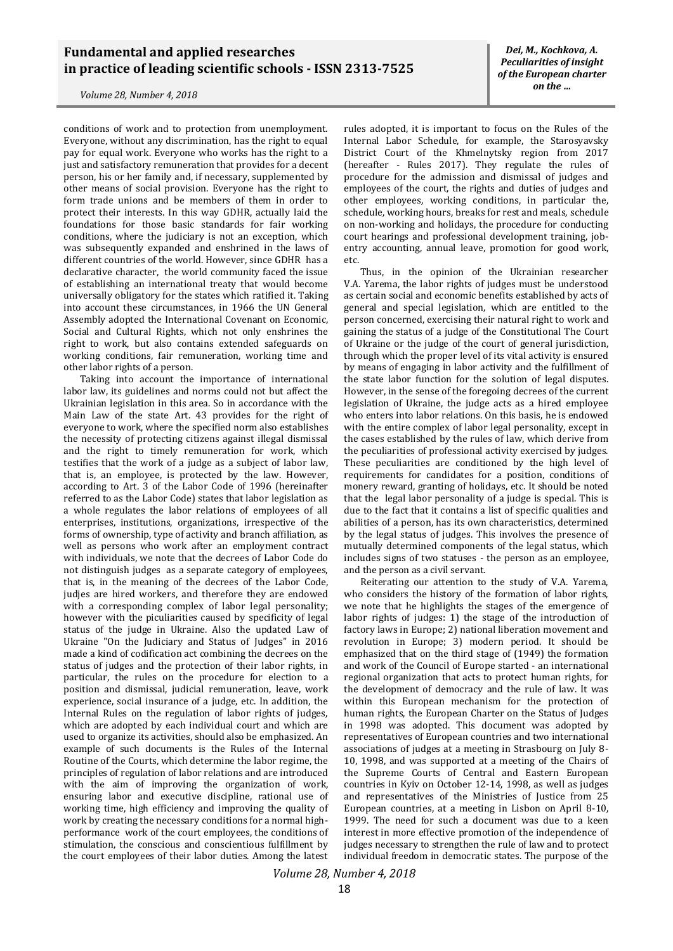## **Fundamental and applied researches in practice of leading scientific schools - ISSN 2313-7525**

*Volume 28, Number 4, 2018*

conditions of work and to protection from unemployment. Everyone, without any discrimination, has the right to equal pay for equal work. Everyone who works has the right to a just and satisfactory remuneration that provides for a decent person, his or her family and, if necessary, supplemented by other means of social provision. Everyone has the right to form trade unions and be members of them in order to protect their interests. In this way GDHR, actually laid the foundations for those basic standards for fair working conditions, where the judiciary is not an exception, which was subsequently expanded and enshrined in the laws of different countries of the world. However, since GDHR has a declarative character, the world community faced the issue of establishing an international treaty that would become universally obligatory for the states which ratified it. Taking into account these circumstances, in 1966 the UN General Assembly adopted the International Covenant on Economic, Social and Cultural Rights, which not only enshrines the right to work, but also contains extended safeguards on working conditions, fair remuneration, working time and other labor rights of a person.

Taking into account the importance of international labor law, its guidelines and norms could not but affect the Ukrainian legislation in this area. So in accordance with the Main Law of the state Art. 43 provides for the right of everyone to work, where the specified norm also establishes the necessity of protecting citizens against illegal dismissal and the right to timely remuneration for work, which testifies that the work of a judge as a subject of labor law, that is, an employee, is protected by the law. However, according to Art. 3 of the Labor Code of 1996 (hereinafter referred to as the Labor Code) states that labor legislation as a whole regulates the labor relations of employees of all enterprises, institutions, organizations, irrespective of the forms of ownership, type of activity and branch affiliation, as well as persons who work after an employment contract with individuals, we note that the decrees of Labor Code do not distinguish judges as a separate category of employees, that is, in the meaning of the decrees of the Labor Code, judjes are hired workers, and therefore they are endowed with a corresponding complex of labor legal personality; however with the piculiarities caused by specificity of legal status of the judge in Ukraine. Also the updated Law of Ukraine "On the Judiciary and Status of Judges" in 2016 made a kind of codification act combining the decrees on the status of judges and the protection of their labor rights, in particular, the rules on the procedure for election to a position and dismissal, judicial remuneration, leave, work experience, social insurance of a judge, etc. In addition, the Internal Rules on the regulation of labor rights of judges, which are adopted by each individual court and which are used to organize its activities, should also be emphasized. An example of such documents is the Rules of the Internal Routine of the Courts, which determine the labor regime, the principles of regulation of labor relations and are introduced with the aim of improving the organization of work, ensuring labor and executive discipline, rational use of working time, high efficiency and improving the quality of work by creating the necessary conditions for a normal highperformance work of the court employees, the conditions of stimulation, the conscious and conscientious fulfillment by the court employees of their labor duties. Among the latest

rules adopted, it is important to focus on the Rules of the Internal Labor Schedule, for example, the Starosyavsky District Court of the Khmelnytsky region from 2017 (hereafter - Rules 2017). They regulate the rules of procedure for the admission and dismissal of judges and employees of the court, the rights and duties of judges and other employees, working conditions, in particular the, schedule, working hours, breaks for rest and meals, schedule on non-working and holidays, the procedure for conducting court hearings and professional development training, jobentry accounting, annual leave, promotion for good work, etc.

Thus, in the opinion of the Ukrainian researcher V.A. Yarema, the labor rights of judges must be understood as certain social and economic benefits established by acts of general and special legislation, which are entitled to the person concerned, exercising their natural right to work and gaining the status of a judge of the Constitutional The Court of Ukraine or the judge of the court of general jurisdiction, through which the proper level of its vital activity is ensured by means of engaging in labor activity and the fulfillment of the state labor function for the solution of legal disputes. However, in the sense of the foregoing decrees of the current legislation of Ukraine, the judge acts as a hired employee who enters into labor relations. On this basis, he is endowed with the entire complex of labor legal personality, except in the cases established by the rules of law, which derive from the peculiarities of professional activity exercised by judges. These peculiarities are conditioned by the high level of requirements for candidates for a position, conditions of monery reward, granting of holidays, etc. It should be noted that the legal labor personality of a judge is special. This is due to the fact that it contains a list of specific qualities and abilities of a person, has its own characteristics, determined by the legal status of judges. This involves the presence of mutually determined components of the legal status, which includes signs of two statuses - the person as an employee, and the person as a civil servant.

Reiterating our attention to the study of V.A. Yarema, who considers the history of the formation of labor rights, we note that he highlights the stages of the emergence of labor rights of judges: 1) the stage of the introduction of factory laws in Europe; 2) national liberation movement and revolution in Europe; 3) modern period. It should be emphasized that on the third stage of (1949) the formation and work of the Council of Europe started - an international regional organization that acts to protect human rights, for the development of democracy and the rule of law. It was within this European mechanism for the protection of human rights, the European Charter on the Status of Judges in 1998 was adopted. This document was adopted by representatives of European countries and two international associations of judges at a meeting in Strasbourg on July 8- 10, 1998, and was supported at a meeting of the Chairs of the Supreme Courts of Central and Eastern European countries in Kyiv on October 12-14, 1998, as well as judges and representatives of the Ministries of Justice from 25 European countries, at a meeting in Lisbon on April 8-10, 1999. The need for such a document was due to a keen interest in more effective promotion of the independence of judges necessary to strengthen the rule of law and to protect individual freedom in democratic states. The purpose of the

*Volume 28, Number 4, 2018*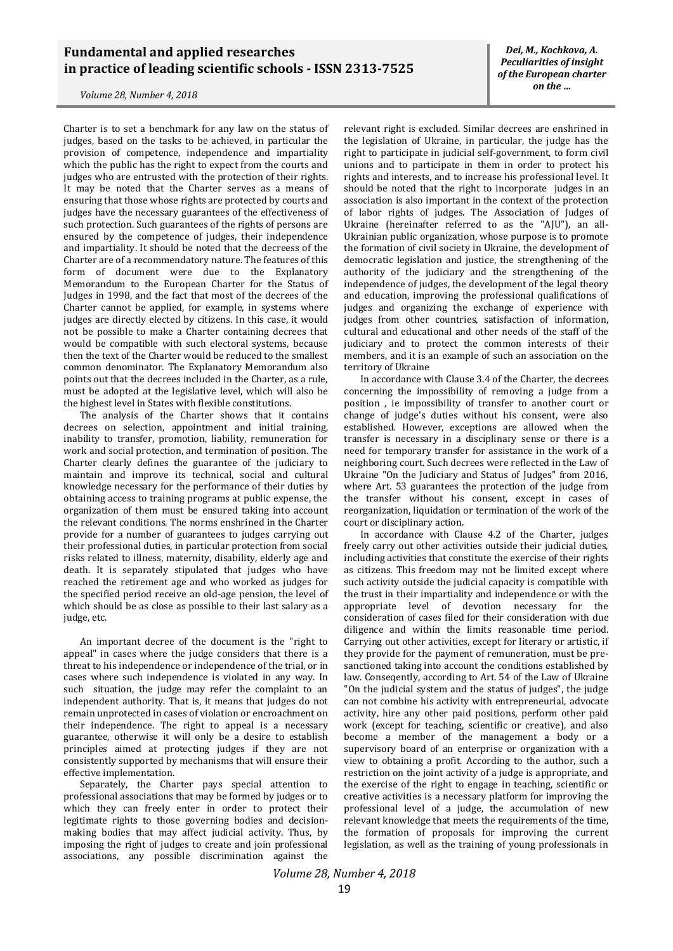## **Fundamental and applied researches in practice of leading scientific schools - ISSN 2313-7525**

*Volume 28, Number 4, 2018*

Charter is to set a benchmark for any law on the status of judges, based on the tasks to be achieved, in particular the provision of competence, independence and impartiality which the public has the right to expect from the courts and judges who are entrusted with the protection of their rights. It may be noted that the Charter serves as a means of ensuring that those whose rights are protected by courts and judges have the necessary guarantees of the effectiveness of such protection. Such guarantees of the rights of persons are ensured by the competence of judges, their independence and impartiality. It should be noted that the decreess of the Charter are of a recommendatory nature. The features of this form of document were due to the Explanatory Memorandum to the European Charter for the Status of Judges in 1998, and the fact that most of the decrees of the Charter cannot be applied, for example, in systems where judges are directly elected by citizens. In this case, it would not be possible to make a Charter containing decrees that would be compatible with such electoral systems, because then the text of the Charter would be reduced to the smallest common denominator. The Explanatory Memorandum also points out that the decrees included in the Charter, as a rule, must be adopted at the legislative level, which will also be the highest level in States with flexible constitutions.

The analysis of the Charter shows that it contains decrees on selection, appointment and initial training, inability to transfer, promotion, liability, remuneration for work and social protection, and termination of position. The Charter clearly defines the guarantee of the judiciary to maintain and improve its technical, social and cultural knowledge necessary for the performance of their duties by obtaining access to training programs at public expense, the organization of them must be ensured taking into account the relevant conditions. The norms enshrined in the Charter provide for a number of guarantees to judges carrying out their professional duties, in particular protection from social risks related to illness, maternity, disability, elderly age and death. It is separately stipulated that judges who have reached the retirement age and who worked as judges for the specified period receive an old-age pension, the level of which should be as close as possible to their last salary as a judge, etc.

An important decree of the document is the "right to appeal" in cases where the judge considers that there is a threat to his independence or independence of the trial, or in cases where such independence is violated in any way. In such situation, the judge may refer the complaint to an independent authority. That is, it means that judges do not remain unprotected in cases of violation or encroachment on their independence. The right to appeal is a necessary guarantee, otherwise it will only be a desire to establish principles aimed at protecting judges if they are not consistently supported by mechanisms that will ensure their effective implementation.

Separately, the Charter pays special attention to professional associations that may be formed by judges or to which they can freely enter in order to protect their legitimate rights to those governing bodies and decisionmaking bodies that may affect judicial activity. Thus, by imposing the right of judges to create and join professional associations, any possible discrimination against the

relevant right is excluded. Similar decrees are enshrined in the legislation of Ukraine, in particular, the judge has the right to participate in judicial self-government, to form civil unions and to participate in them in order to protect his rights and interests, and to increase his professional level. It should be noted that the right to incorporate judges in an association is also important in the context of the protection of labor rights of judges. The Association of Judges of Ukraine (hereinafter referred to as the "AJU"), an all-Ukrainian public organization, whose purpose is to promote the formation of civil society in Ukraine, the development of democratic legislation and justice, the strengthening of the authority of the judiciary and the strengthening of the independence of judges, the development of the legal theory and education, improving the professional qualifications of judges and organizing the exchange of experience with judges from other countries, satisfaction of information, cultural and educational and other needs of the staff of the judiciary and to protect the common interests of their members, and it is an example of such an association on the territory of Ukraine

In accordance with Clause 3.4 of the Charter, the decrees concerning the impossibility of removing a judge from a position , ie impossibility of transfer to another court or change of judge's duties without his consent, were also established. However, exceptions are allowed when the transfer is necessary in a disciplinary sense or there is a need for temporary transfer for assistance in the work of a neighboring court. Such decrees were reflected in the Law of Ukraine "On the Judiciary and Status of Judges" from 2016, where Art. 53 guarantees the protection of the judge from the transfer without his consent, except in cases of reorganization, liquidation or termination of the work of the court or disciplinary action.

In accordance with Clause 4.2 of the Charter, judges freely carry out other activities outside their judicial duties, including activities that constitute the exercise of their rights as citizens. This freedom may not be limited except where such activity outside the judicial capacity is compatible with the trust in their impartiality and independence or with the appropriate level of devotion necessary for the consideration of cases filed for their consideration with due diligence and within the limits reasonable time period. Carrying out other activities, except for literary or artistic, if they provide for the payment of remuneration, must be presanctioned taking into account the conditions established by law. Conseqently, according to Art. 54 of the Law of Ukraine "On the judicial system and the status of judges", the judge can not combine his activity with entrepreneurial, advocate activity, hire any other paid positions, perform other paid work (except for teaching, scientific or creative), and also become a member of the management a body or a supervisory board of an enterprise or organization with a view to obtaining a profit. According to the author, such a restriction on the joint activity of a judge is appropriate, and the exercise of the right to engage in teaching, scientific or creative activities is a necessary platform for improving the professional level of a judge, the accumulation of new relevant knowledge that meets the requirements of the time, the formation of proposals for improving the current legislation, as well as the training of young professionals in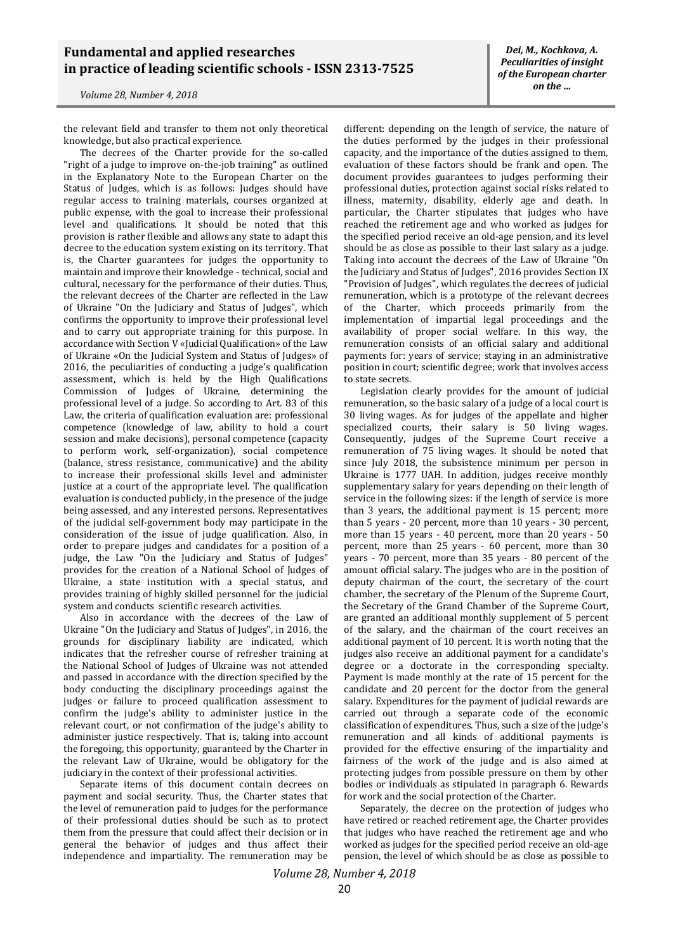## **Fundamental and applied researches in practice of leading scientific schools - ISSN 2313-7525**

*Volume 28, Number 4, 2018*

the relevant field and transfer to them not only theoretical knowledge, but also practical experience.

The decrees of the Charter provide for the so-called "right of a judge to improve on-the-job training" as outlined in the Explanatory Note to the European Charter on the Status of Judges, which is as follows: Judges should have regular access to training materials, courses organized at public expense, with the goal to increase their professional level and qualifications. It should be noted that this provision is rather flexible and allows any state to adapt this decree to the education system existing on its territory. That is, the Charter guarantees for judges the opportunity to maintain and improve their knowledge - technical, social and cultural, necessary for the performance of their duties. Thus, the relevant decrees of the Charter are reflected in the Law of Ukraine "On the Judiciary and Status of Judges", which confirms the opportunity to improve their professional level and to carry out appropriate training for this purpose. In accordance with Section V «Judicial Qualification» of the Law of Ukraine «On the Judicial System and Status of Judges» of 2016, the peculiarities of conducting a judge's qualification assessment, which is held by the High Qualifications Commission of Judges of Ukraine, determining the professional level of a judge. So according to Art. 83 of this Law, the criteria of qualification evaluation are: professional competence (knowledge of law, ability to hold a court session and make decisions), personal competence (capacity to perform work, self-organization), social competence (balance, stress resistance, communicative) and the ability to increase their professional skills level and administer justice at a court of the appropriate level. The qualification evaluation is conducted publicly, in the presence of the judge being assessed, and any interested persons. Representatives of the judicial self-government body may participate in the consideration of the issue of judge qualification. Also, in order to prepare judges and candidates for a position of a judge, the Law "On the Judiciary and Status of Judges" provides for the creation of a National School of Judges of Ukraine, a state institution with a special status, and provides training of highly skilled personnel for the judicial system and conducts scientific research activities.

Also in accordance with the decrees of the Law of Ukraine "On the Judiciary and Status of Judges", in 2016, the grounds for disciplinary liability are indicated, which indicates that the refresher course of refresher training at the National School of Judges of Ukraine was not attended and passed in accordance with the direction specified by the body conducting the disciplinary proceedings against the judges or failure to proceed qualification assessment to confirm the judge's ability to administer justice in the relevant court, or not confirmation of the judge's ability to administer justice respectively. That is, taking into account the foregoing, this opportunity, guaranteed by the Charter in the relevant Law of Ukraine, would be obligatory for the judiciary in the context of their professional activities.

Separate items of this document contain decrees on payment and social security. Thus, the Charter states that the level of remuneration paid to judges for the performance of their professional duties should be such as to protect them from the pressure that could affect their decision or in general the behavior of judges and thus affect their independence and impartiality. The remuneration may be

*Dei, M., Kochkova, A. Peculiarities of insight of the European charter on the …*

different: depending on the length of service, the nature of the duties performed by the judges in their professional capacity, and the importance of the duties assigned to them, evaluation of these factors should be frank and open. The document provides guarantees to judges performing their professional duties, protection against social risks related to illness, maternity, disability, elderly age and death. In particular, the Charter stipulates that judges who have reached the retirement age and who worked as judges for the specified period receive an old-age pension, and its level should be as close as possible to their last salary as a judge. Taking into account the decrees of the Law of Ukraine "On the Judiciary and Status of Judges", 2016 provides Section IX "Provision of Judges", which regulates the decrees of judicial remuneration, which is a prototype of the relevant decrees of the Charter, which proceeds primarily from the implementation of impartial legal proceedings and the availability of proper social welfare. In this way, the remuneration consists of an official salary and additional payments for: years of service; staying in an administrative position in court; scientific degree; work that involves access to state secrets.

Legislation clearly provides for the amount of judicial remuneration, so the basic salary of a judge of a local court is 30 living wages. As for judges of the appellate and higher specialized courts, their salary is 50 living wages. Consequently, judges of the Supreme Court receive a remuneration of 75 living wages. It should be noted that since July 2018, the subsistence minimum per person in Ukraine is 1777 UAH. In addition, judges receive monthly supplementary salary for years depending on their length of service in the following sizes: if the length of service is more than 3 years, the additional payment is 15 percent; more than 5 years - 20 percent, more than 10 years - 30 percent, more than 15 years - 40 percent, more than 20 years - 50 percent, more than 25 years - 60 percent, more than 30 years - 70 percent, more than 35 years - 80 percent of the amount official salary. The judges who are in the position of deputy chairman of the court, the secretary of the court chamber, the secretary of the Plenum of the Supreme Court, the Secretary of the Grand Chamber of the Supreme Court, are granted an additional monthly supplement of 5 percent of the salary, and the chairman of the court receives an additional payment of 10 percent. It is worth noting that the judges also receive an additional payment for a candidate's degree or a doctorate in the corresponding specialty. Payment is made monthly at the rate of 15 percent for the candidate and 20 percent for the doctor from the general salary. Expenditures for the payment of judicial rewards are carried out through a separate code of the economic classification of expenditures. Thus, such a size of the judge's remuneration and all kinds of additional payments is provided for the effective ensuring of the impartiality and fairness of the work of the judge and is also aimed at protecting judges from possible pressure on them by other bodies or individuals as stipulated in paragraph 6. Rewards for work and the social protection of the Charter.

Separately, the decree on the protection of judges who have retired or reached retirement age, the Charter provides that judges who have reached the retirement age and who worked as judges for the specified period receive an old-age pension, the level of which should be as close as possible to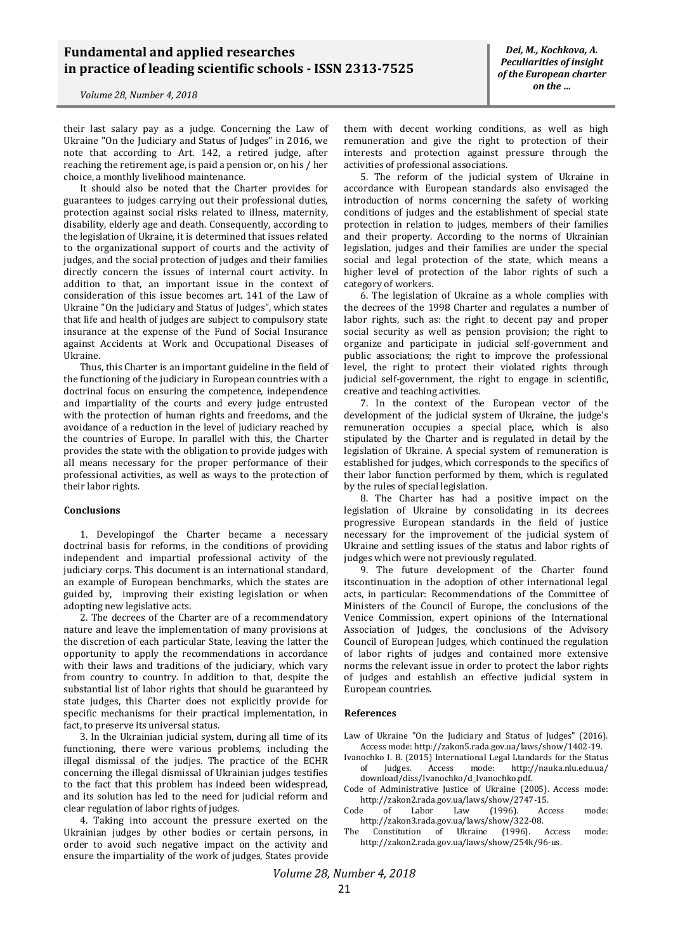their last salary pay as a judge. Concerning the Law of Ukraine "On the Judiciary and Status of Judges" in 2016, we note that according to Art. 142, a retired judge, after reaching the retirement age, is paid a pension or, on his / her choice, a monthly livelihood maintenance.

It should also be noted that the Charter provides for guarantees to judges carrying out their professional duties, protection against social risks related to illness, maternity, disability, elderly age and death. Consequently, according to the legislation of Ukraine, it is determined that issues related to the organizational support of courts and the activity of judges, and the social protection of judges and their families directly concern the issues of internal court activity. In addition to that, an important issue in the context of consideration of this issue becomes art. 141 of the Law of Ukraine "On the Judiciary and Status of Judges", which states that life and health of judges are subject to compulsory state insurance at the expense of the Fund of Social Insurance against Accidents at Work and Occupational Diseases of Ukraine.

Thus, this Charter is an important guideline in the field of the functioning of the judiciary in European countries with a doctrinal focus on ensuring the competence, independence and impartiality of the courts and every judge entrusted with the protection of human rights and freedoms, and the avoidance of a reduction in the level of judiciary reached by the countries of Europe. In parallel with this, the Charter provides the state with the obligation to provide judges with all means necessary for the proper performance of their professional activities, as well as ways to the protection of their labor rights.

#### **Conclusions**

1. Developingof the Charter became a necessary doctrinal basis for reforms, in the conditions of providing independent and impartial professional activity of the judiciary corps. This document is an international standard, an example of European benchmarks, which the states are guided by, improving their existing legislation or when adopting new legislative acts.

2. The decrees of the Charter are of a recommendatory nature and leave the implementation of many provisions at the discretion of each particular State, leaving the latter the opportunity to apply the recommendations in accordance with their laws and traditions of the judiciary, which vary from country to country. In addition to that, despite the substantial list of labor rights that should be guaranteed by state judges, this Charter does not explicitly provide for specific mechanisms for their practical implementation, in fact, to preserve its universal status.

3. In the Ukrainian judicial system, during all time of its functioning, there were various problems, including the illegal dismissal of the judjes. The practice of the ECHR concerning the illegal dismissal of Ukrainian judges testifies to the fact that this problem has indeed been widespread, and its solution has led to the need for judicial reform and clear regulation of labor rights of judges.

4. Taking into account the pressure exerted on the Ukrainian judges by other bodies or certain persons, in order to avoid such negative impact on the activity and ensure the impartiality of the work of judges, States provide

them with decent working conditions, as well as high remuneration and give the right to protection of their interests and protection against pressure through the activities of professional associations.

5. The reform of the judicial system of Ukraine in accordance with European standards also envisaged the introduction of norms concerning the safety of working conditions of judges and the establishment of special state protection in relation to judges, members of their families and their property. According to the norms of Ukrainian legislation, judges and their families are under the special social and legal protection of the state, which means a higher level of protection of the labor rights of such a category of workers.

6. The legislation of Ukraine as a whole complies with the decrees of the 1998 Charter and regulates a number of labor rights, such as: the right to decent pay and proper social security as well as pension provision; the right to organize and participate in judicial self-government and public associations; the right to improve the professional level, the right to protect their violated rights through judicial self-government, the right to engage in scientific, creative and teaching activities.

7. In the context of the European vector of the development of the judicial system of Ukraine, the judge's remuneration occupies a special place, which is also stipulated by the Charter and is regulated in detail by the legislation of Ukraine. A special system of remuneration is established for judges, which corresponds to the specifics of their labor function performed by them, which is regulated by the rules of special legislation.

8. The Charter has had a positive impact on the legislation of Ukraine by consolidating in its decrees progressive European standards in the field of justice necessary for the improvement of the judicial system of Ukraine and settling issues of the status and labor rights of judges which were not previously regulated.

9. The future development of the Charter found itscontinuation in the adoption of other international legal acts, in particular: Recommendations of the Committee of Ministers of the Council of Europe, the conclusions of the Venice Commission, expert opinions of the International Association of Judges, the conclusions of the Advisory Council of European Judges, which continued the regulation of labor rights of judges and contained more extensive norms the relevant issue in order to protect the labor rights of judges and establish an effective judicial system in European countries.

#### **References**

Law of Ukraine "On the Judiciary and Status of Judges" (2016). Access mode: http://zakon5.rada.gov.ua/laws/show/1402-19.

- Ivanochko I. B. (2015) International Legal Ltandards for the Status of Judges. Access mode: <http://nauka.nlu.edu.ua/> download/diss/Ivanochko/d\_Ivanochko.pdf.
- Code of Administrative Justice of Ukraine (2005). Access mode: http://zakon2.rada.gov.ua/laws/show/2747-15.
- Code of Labor Law (1996). Access mode: http://zakon3.rada.gov.ua/laws/show/322-08.
- The Constitution of Ukraine (1996). Access mode: http://zakon2.rada.gov.ua/laws/show/254k/96-us.